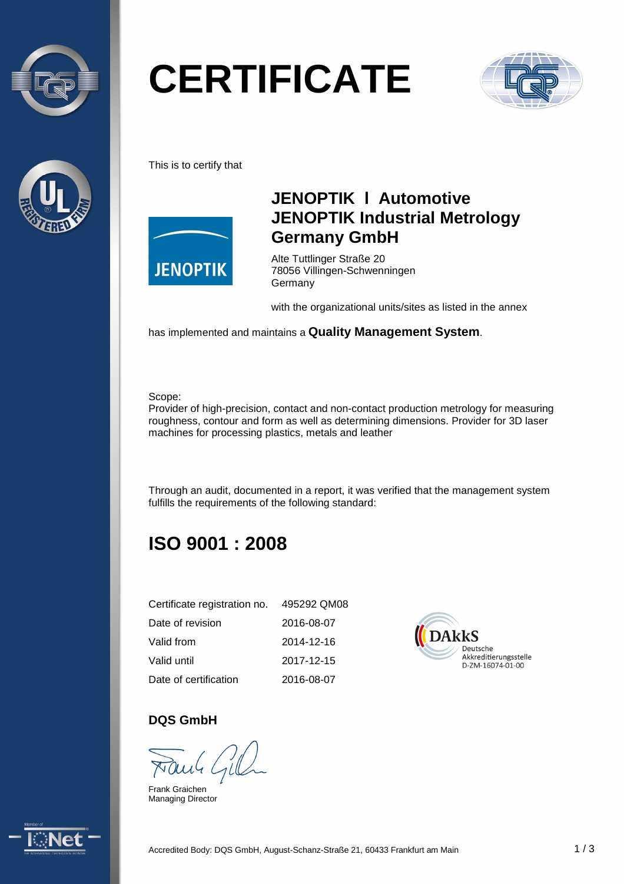



# **CERTIFICATE**



This is to certify that



### **JENOPTIK l Automotive JENOPTIK Industrial Metrology Germany GmbH**

Alte Tuttlinger Straße 20 78056 Villingen-Schwenningen Germany

with the organizational units/sites as listed in the annex

has implemented and maintains a **Quality Management System**.

#### Scope:

Provider of high-precision, contact and non-contact production metrology for measuring roughness, contour and form as well as determining dimensions. Provider for 3D laser machines for processing plastics, metals and leather

Through an audit, documented in a report, it was verified that the management system fulfills the requirements of the following standard:

# **ISO 9001 : 2008**

| Certificate registration no. | 495292 QM08 |
|------------------------------|-------------|
| Date of revision             | 2016-08-07  |
| Valid from                   | 2014-12-16  |
| Valid until                  | 2017-12-15  |
| Date of certification        | 2016-08-07  |



#### **DQS GmbH**

Frank Graichen Managing Director

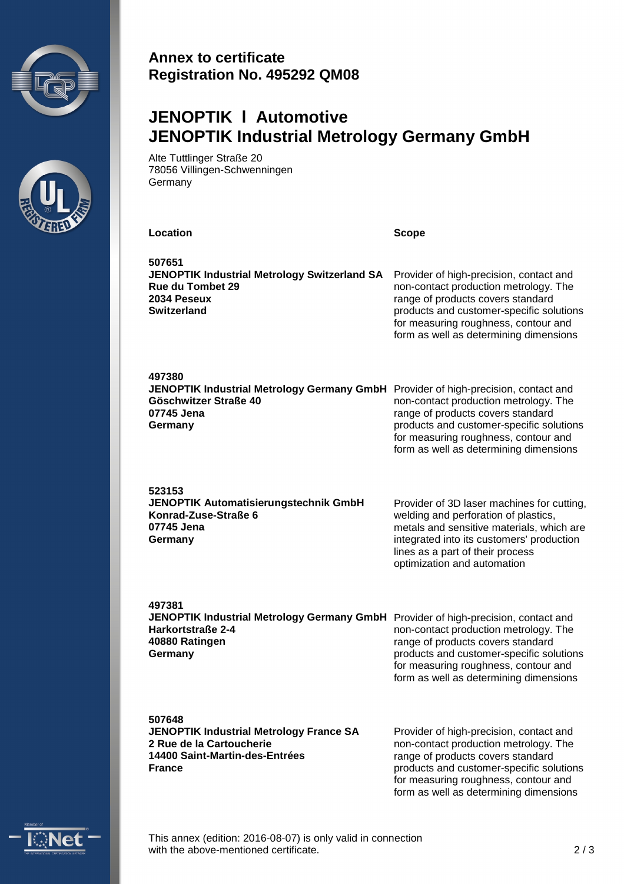



#### **Annex to certificate Registration No. 495292 QM08**

# **JENOPTIK l Automotive JENOPTIK Industrial Metrology Germany GmbH**

Alte Tuttlinger Straße 20 78056 Villingen-Schwenningen **Germany** 

| Location                                                                                                        | <b>Scope</b>                                                                                                                                                                                                                                        |
|-----------------------------------------------------------------------------------------------------------------|-----------------------------------------------------------------------------------------------------------------------------------------------------------------------------------------------------------------------------------------------------|
| 507651<br>JENOPTIK Industrial Metrology Switzerland SA<br>Rue du Tombet 29<br>2034 Peseux<br><b>Switzerland</b> | Provider of high-precision, contact and<br>non-contact production metrology. The<br>range of products covers standard<br>products and customer-specific solutions<br>for measuring roughness, contour and<br>form as well as determining dimensions |
| 497380                                                                                                          | non-contact production metrology. The                                                                                                                                                                                                               |
| JENOPTIK Industrial Metrology Germany GmbH Provider of high-precision, contact and                              | range of products covers standard                                                                                                                                                                                                                   |
| Göschwitzer Straße 40                                                                                           | products and customer-specific solutions                                                                                                                                                                                                            |
| 07745 Jena                                                                                                      | for measuring roughness, contour and                                                                                                                                                                                                                |
| Germany                                                                                                         | form as well as determining dimensions                                                                                                                                                                                                              |
| 523153<br>JENOPTIK Automatisierungstechnik GmbH<br>Konrad-Zuse-Straße 6<br>07745 Jena<br>Germany                | Provider of 3D laser machines for cutting,<br>welding and perforation of plastics,<br>metals and sensitive materials, which are<br>integrated into its customers' production<br>lines as a part of their process<br>optimization and automation     |
| 497381                                                                                                          | non-contact production metrology. The                                                                                                                                                                                                               |
| JENOPTIK Industrial Metrology Germany GmbH Provider of high-precision, contact and                              | range of products covers standard                                                                                                                                                                                                                   |
| Harkortstraße 2-4                                                                                               | products and customer-specific solutions                                                                                                                                                                                                            |
| 40880 Ratingen                                                                                                  | for measuring roughness, contour and                                                                                                                                                                                                                |
| Germany                                                                                                         | form as well as determining dimensions                                                                                                                                                                                                              |
| 507648                                                                                                          | Provider of high-precision, contact and                                                                                                                                                                                                             |
| <b>JENOPTIK Industrial Metrology France SA</b>                                                                  | non-contact production metrology. The                                                                                                                                                                                                               |
| 2 Rue de la Cartoucherie                                                                                        | range of products covers standard                                                                                                                                                                                                                   |
| 14400 Saint-Martin-des-Entrées                                                                                  | products and customer-specific solutions                                                                                                                                                                                                            |
| <b>France</b>                                                                                                   | for measuring roughness, contour and                                                                                                                                                                                                                |



This annex (edition: 2016-08-07) is only valid in connection with the above-mentioned certificate. 2/3

form as well as determining dimensions